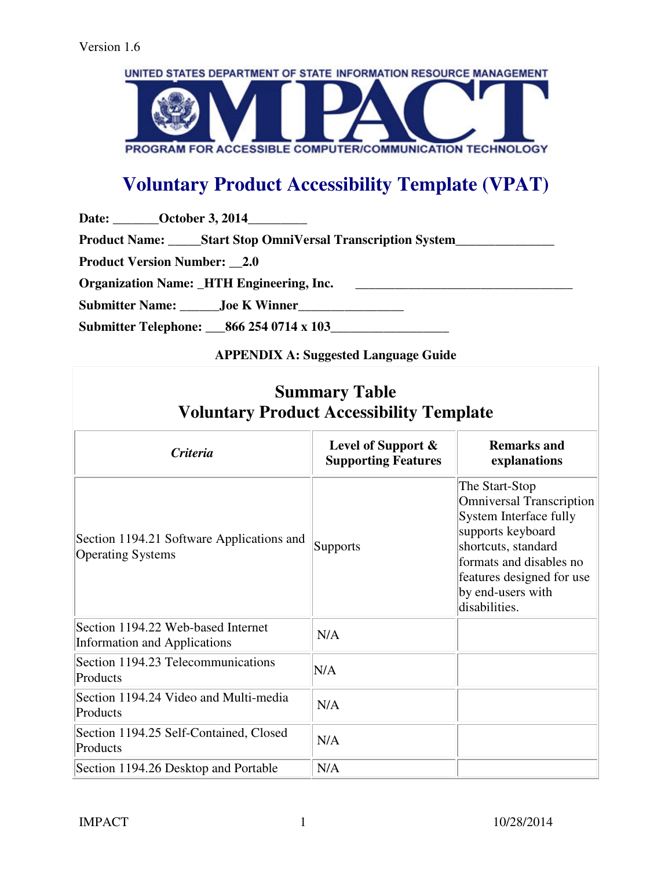

# **Voluntary Product Accessibility Template (VPAT)**

Date: **\_\_\_\_\_\_\_October 3, 2014** \_\_\_\_\_\_\_\_

Product Name: \_\_\_\_\_Start Stop OmniVersal Transcription System\_\_\_\_\_\_\_\_\_\_\_\_\_\_\_\_\_\_\_

**Product Version Number: \_\_2.0** 

**Organization Name:** HTH Engineering, Inc.

**Submitter Name: \_\_\_\_\_\_Joe K Winner\_\_\_\_\_\_\_\_\_\_\_\_\_\_\_\_** 

**Submitter Telephone: \_\_\_866 254 0714 x 103\_\_\_\_\_\_\_\_\_\_\_\_\_\_\_\_\_\_** 

## **APPENDIX A: Suggested Language Guide**

| <b>Summary Table</b><br><b>Voluntary Product Accessibility Template</b>   |                                                     |                                                                                                                                                                                                                       |
|---------------------------------------------------------------------------|-----------------------------------------------------|-----------------------------------------------------------------------------------------------------------------------------------------------------------------------------------------------------------------------|
| <b>Criteria</b>                                                           | Level of Support $\&$<br><b>Supporting Features</b> | <b>Remarks and</b><br>explanations                                                                                                                                                                                    |
| Section 1194.21 Software Applications and<br><b>Operating Systems</b>     | Supports                                            | The Start-Stop<br><b>Omniversal Transcription</b><br>System Interface fully<br>supports keyboard<br>shortcuts, standard<br>formats and disables no<br>features designed for use<br>by end-users with<br>disabilities. |
| Section 1194.22 Web-based Internet<br><b>Information and Applications</b> | N/A                                                 |                                                                                                                                                                                                                       |
| Section 1194.23 Telecommunications<br>Products                            | N/A                                                 |                                                                                                                                                                                                                       |
| Section 1194.24 Video and Multi-media<br>Products                         | N/A                                                 |                                                                                                                                                                                                                       |
| Section 1194.25 Self-Contained, Closed<br>Products                        | N/A                                                 |                                                                                                                                                                                                                       |
| Section 1194.26 Desktop and Portable                                      | N/A                                                 |                                                                                                                                                                                                                       |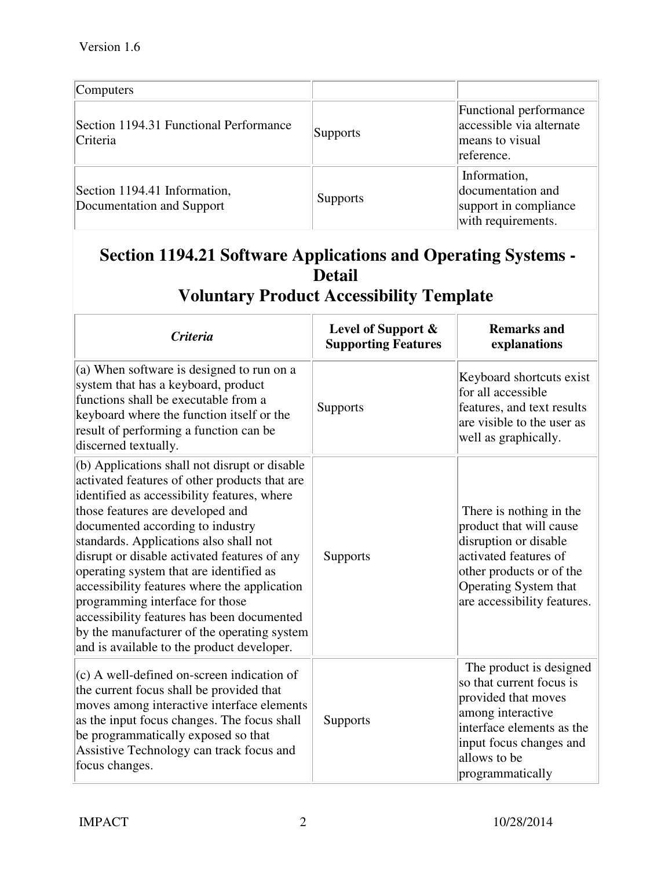| Computers                                                 |                 |                                                                                     |
|-----------------------------------------------------------|-----------------|-------------------------------------------------------------------------------------|
| Section 1194.31 Functional Performance<br>Criteria        | <b>Supports</b> | Functional performance<br>accessible via alternate<br>means to visual<br>reference. |
| Section 1194.41 Information,<br>Documentation and Support | <b>Supports</b> | Information,<br>documentation and<br>support in compliance<br>with requirements.    |

# **Section 1194.21 Software Applications and Operating Systems - Detail**

# **Voluntary Product Accessibility Template**

| <b>Criteria</b>                                                                                                                                                                                                                                                                                                                                                                                                                                                                                                                                                                          | Level of Support &<br><b>Supporting Features</b> | <b>Remarks and</b><br>explanations                                                                                                                                                          |
|------------------------------------------------------------------------------------------------------------------------------------------------------------------------------------------------------------------------------------------------------------------------------------------------------------------------------------------------------------------------------------------------------------------------------------------------------------------------------------------------------------------------------------------------------------------------------------------|--------------------------------------------------|---------------------------------------------------------------------------------------------------------------------------------------------------------------------------------------------|
| (a) When software is designed to run on a<br>system that has a keyboard, product<br>functions shall be executable from a<br>keyboard where the function itself or the<br>result of performing a function can be<br>discerned textually.                                                                                                                                                                                                                                                                                                                                                  | <b>Supports</b>                                  | Keyboard shortcuts exist<br>for all accessible<br>features, and text results<br>are visible to the user as<br>well as graphically.                                                          |
| (b) Applications shall not disrupt or disable<br>activated features of other products that are<br>identified as accessibility features, where<br>those features are developed and<br>documented according to industry<br>standards. Applications also shall not<br>disrupt or disable activated features of any<br>operating system that are identified as<br>accessibility features where the application<br>programming interface for those<br>accessibility features has been documented<br>by the manufacturer of the operating system<br>and is available to the product developer. | Supports                                         | There is nothing in the<br>product that will cause<br>disruption or disable<br>activated features of<br>other products or of the<br>Operating System that<br>are accessibility features.    |
| (c) A well-defined on-screen indication of<br>the current focus shall be provided that<br>moves among interactive interface elements<br>as the input focus changes. The focus shall<br>be programmatically exposed so that<br>Assistive Technology can track focus and<br>focus changes.                                                                                                                                                                                                                                                                                                 | <b>Supports</b>                                  | The product is designed<br>so that current focus is<br>provided that moves<br>among interactive<br>interface elements as the<br>input focus changes and<br>allows to be<br>programmatically |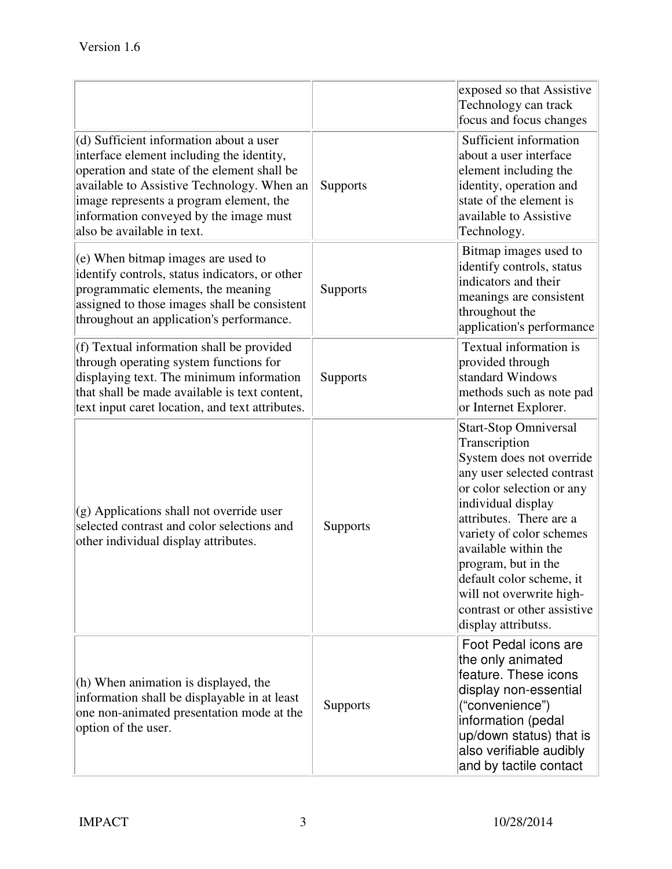|                                                                                                                                                                                                                                                                                                      |                 | exposed so that Assistive<br>Technology can track<br>focus and focus changes                                                                                                                                                                                                                                                                                                   |
|------------------------------------------------------------------------------------------------------------------------------------------------------------------------------------------------------------------------------------------------------------------------------------------------------|-----------------|--------------------------------------------------------------------------------------------------------------------------------------------------------------------------------------------------------------------------------------------------------------------------------------------------------------------------------------------------------------------------------|
| (d) Sufficient information about a user<br>interface element including the identity,<br>operation and state of the element shall be<br>available to Assistive Technology. When an<br>image represents a program element, the<br>information conveyed by the image must<br>also be available in text. | <b>Supports</b> | Sufficient information<br>about a user interface<br>element including the<br>identity, operation and<br>state of the element is<br>available to Assistive<br>Technology.                                                                                                                                                                                                       |
| (e) When bitmap images are used to<br>identify controls, status indicators, or other<br>programmatic elements, the meaning<br>assigned to those images shall be consistent<br>throughout an application's performance.                                                                               | Supports        | Bitmap images used to<br>identify controls, status<br>indicators and their<br>meanings are consistent<br>throughout the<br>application's performance                                                                                                                                                                                                                           |
| (f) Textual information shall be provided<br>through operating system functions for<br>displaying text. The minimum information<br>that shall be made available is text content,<br>text input caret location, and text attributes.                                                                  | <b>Supports</b> | Textual information is<br>provided through<br>standard Windows<br>methods such as note pad<br>or Internet Explorer.                                                                                                                                                                                                                                                            |
| $(g)$ Applications shall not override user<br>selected contrast and color selections and<br>other individual display attributes.                                                                                                                                                                     | Supports        | <b>Start-Stop Omniversal</b><br>Transcription<br>System does not override<br>any user selected contrast<br>or color selection or any<br>individual display<br>attributes. There are a<br>variety of color schemes<br>available within the<br>program, but in the<br>default color scheme, it<br>will not overwrite high-<br>contrast or other assistive<br>display attributss. |
| (h) When animation is displayed, the<br>information shall be displayable in at least<br>one non-animated presentation mode at the<br>option of the user.                                                                                                                                             | <b>Supports</b> | Foot Pedal icons are<br>the only animated<br>feature. These icons<br>display non-essential<br>("convenience")<br>information (pedal<br>up/down status) that is<br>also verifiable audibly<br>and by tactile contact                                                                                                                                                            |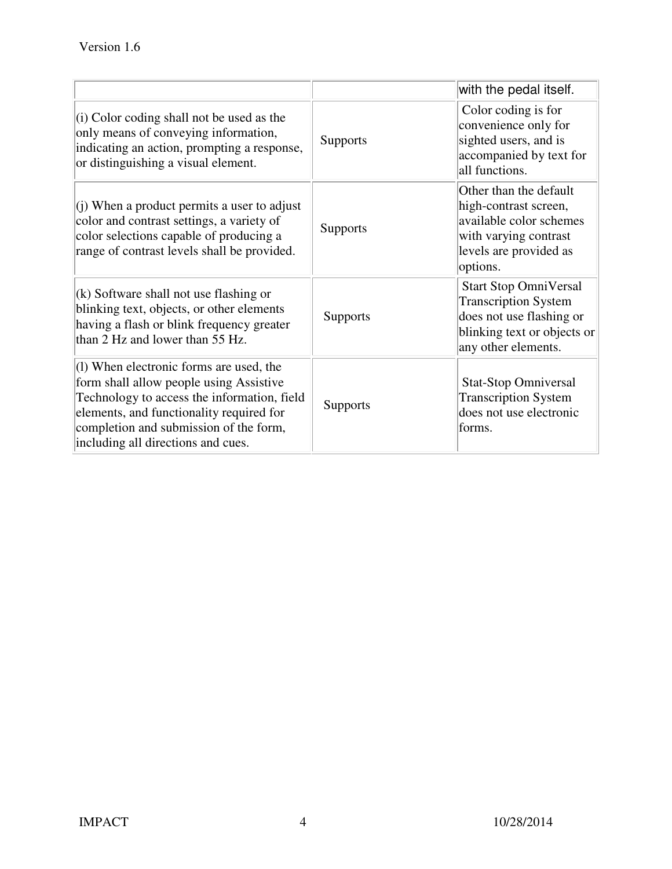|                                                                                                                                                                                                                                                                 |                 | with the pedal itself.                                                                                                                        |
|-----------------------------------------------------------------------------------------------------------------------------------------------------------------------------------------------------------------------------------------------------------------|-----------------|-----------------------------------------------------------------------------------------------------------------------------------------------|
| $(i)$ Color coding shall not be used as the<br>only means of conveying information,<br>indicating an action, prompting a response,<br>or distinguishing a visual element.                                                                                       | <b>Supports</b> | Color coding is for<br>convenience only for<br>sighted users, and is<br>accompanied by text for<br>all functions.                             |
| (i) When a product permits a user to adjust<br>color and contrast settings, a variety of<br>color selections capable of producing a<br>range of contrast levels shall be provided.                                                                              | Supports        | Other than the default<br>high-contrast screen,<br>available color schemes<br>with varying contrast<br>levels are provided as<br>options.     |
| $(k)$ Software shall not use flashing or<br>blinking text, objects, or other elements<br>having a flash or blink frequency greater<br>than 2 Hz and lower than 55 Hz.                                                                                           | Supports        | <b>Start Stop OmniVersal</b><br><b>Transcription System</b><br>does not use flashing or<br>blinking text or objects or<br>any other elements. |
| $(1)$ When electronic forms are used, the<br>form shall allow people using Assistive<br>Technology to access the information, field<br>elements, and functionality required for<br>completion and submission of the form,<br>including all directions and cues. | <b>Supports</b> | <b>Stat-Stop Omniversal</b><br><b>Transcription System</b><br>does not use electronic<br>forms.                                               |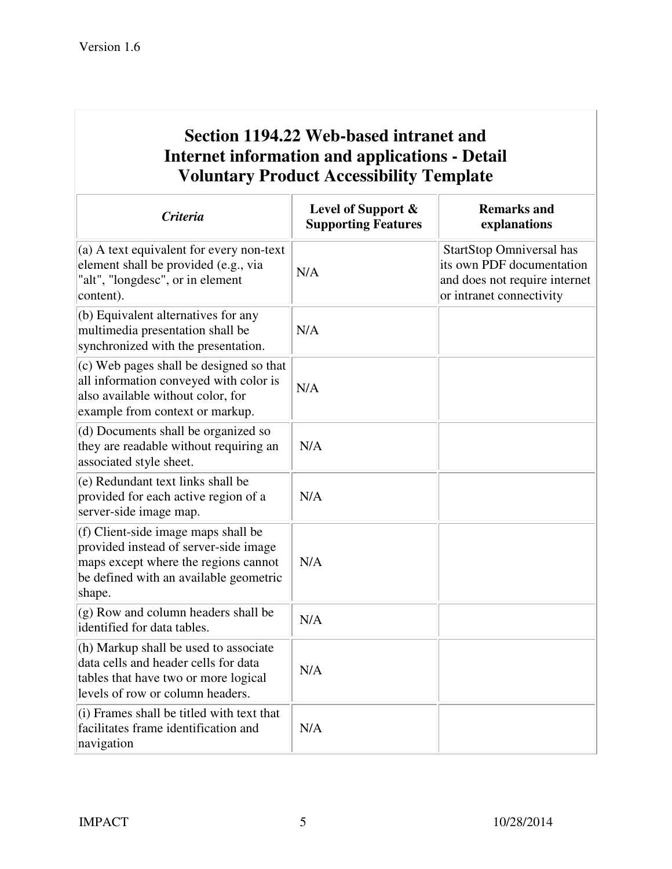# **Section 1194.22 Web-based intranet and Internet information and applications - Detail Voluntary Product Accessibility Template**

| <b>Criteria</b>                                                                                                                                                          | Level of Support &<br><b>Supporting Features</b> | <b>Remarks and</b><br>explanations                                                                                        |
|--------------------------------------------------------------------------------------------------------------------------------------------------------------------------|--------------------------------------------------|---------------------------------------------------------------------------------------------------------------------------|
| (a) A text equivalent for every non-text<br>element shall be provided (e.g., via<br>"alt", "longdesc", or in element<br>content).                                        | N/A                                              | <b>StartStop Omniversal has</b><br>its own PDF documentation<br>and does not require internet<br>or intranet connectivity |
| (b) Equivalent alternatives for any<br>multimedia presentation shall be<br>synchronized with the presentation.                                                           | N/A                                              |                                                                                                                           |
| (c) Web pages shall be designed so that<br>all information conveyed with color is<br>also available without color, for<br>example from context or markup.                | N/A                                              |                                                                                                                           |
| (d) Documents shall be organized so<br>they are readable without requiring an<br>associated style sheet.                                                                 | N/A                                              |                                                                                                                           |
| (e) Redundant text links shall be<br>provided for each active region of a<br>server-side image map.                                                                      | N/A                                              |                                                                                                                           |
| (f) Client-side image maps shall be<br>provided instead of server-side image<br>maps except where the regions cannot<br>be defined with an available geometric<br>shape. | N/A                                              |                                                                                                                           |
| (g) Row and column headers shall be<br>identified for data tables.                                                                                                       | N/A                                              |                                                                                                                           |
| (h) Markup shall be used to associate<br>data cells and header cells for data<br>tables that have two or more logical<br>levels of row or column headers.                | N/A                                              |                                                                                                                           |
| (i) Frames shall be titled with text that<br>facilitates frame identification and<br>navigation                                                                          | N/A                                              |                                                                                                                           |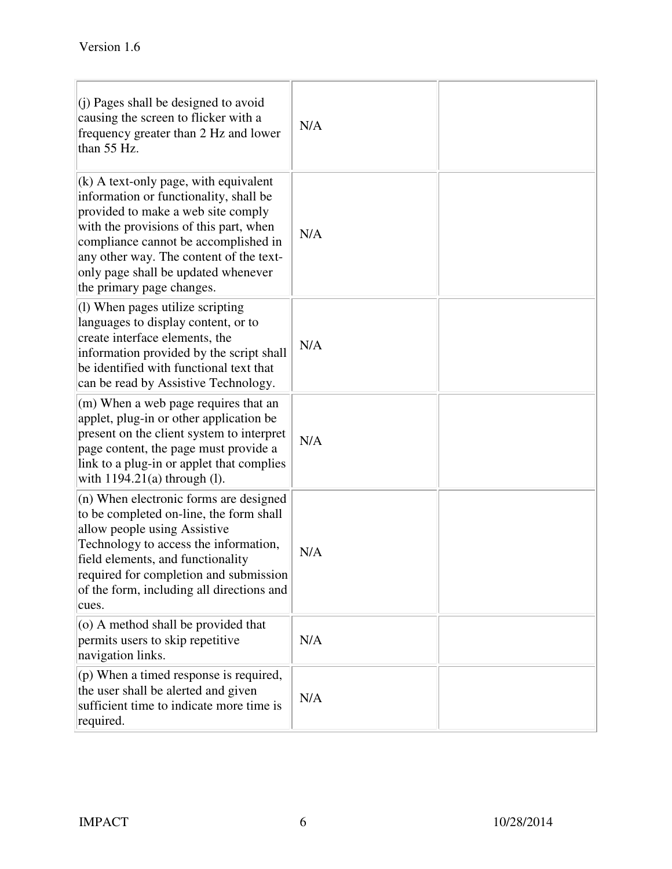| $(i)$ Pages shall be designed to avoid<br>causing the screen to flicker with a<br>frequency greater than 2 Hz and lower<br>than 55 Hz.                                                                                                                                                                                   | N/A |  |
|--------------------------------------------------------------------------------------------------------------------------------------------------------------------------------------------------------------------------------------------------------------------------------------------------------------------------|-----|--|
| $(k)$ A text-only page, with equivalent<br>information or functionality, shall be<br>provided to make a web site comply<br>with the provisions of this part, when<br>compliance cannot be accomplished in<br>any other way. The content of the text-<br>only page shall be updated whenever<br>the primary page changes. | N/A |  |
| $(1)$ When pages utilize scripting<br>languages to display content, or to<br>create interface elements, the<br>information provided by the script shall<br>be identified with functional text that<br>can be read by Assistive Technology.                                                                               | N/A |  |
| (m) When a web page requires that an<br>applet, plug-in or other application be<br>present on the client system to interpret<br>page content, the page must provide a<br>link to a plug-in or applet that complies<br>with $1194.21(a)$ through (1).                                                                     | N/A |  |
| $(n)$ When electronic forms are designed<br>to be completed on-line, the form shall<br>allow people using Assistive<br>Technology to access the information,<br>field elements, and functionality<br>required for completion and submission<br>of the form, including all directions and<br>cues.                        | N/A |  |
| $(0)$ A method shall be provided that<br>permits users to skip repetitive<br>navigation links.                                                                                                                                                                                                                           | N/A |  |
| $($ p) When a timed response is required,<br>the user shall be alerted and given<br>sufficient time to indicate more time is<br>required.                                                                                                                                                                                | N/A |  |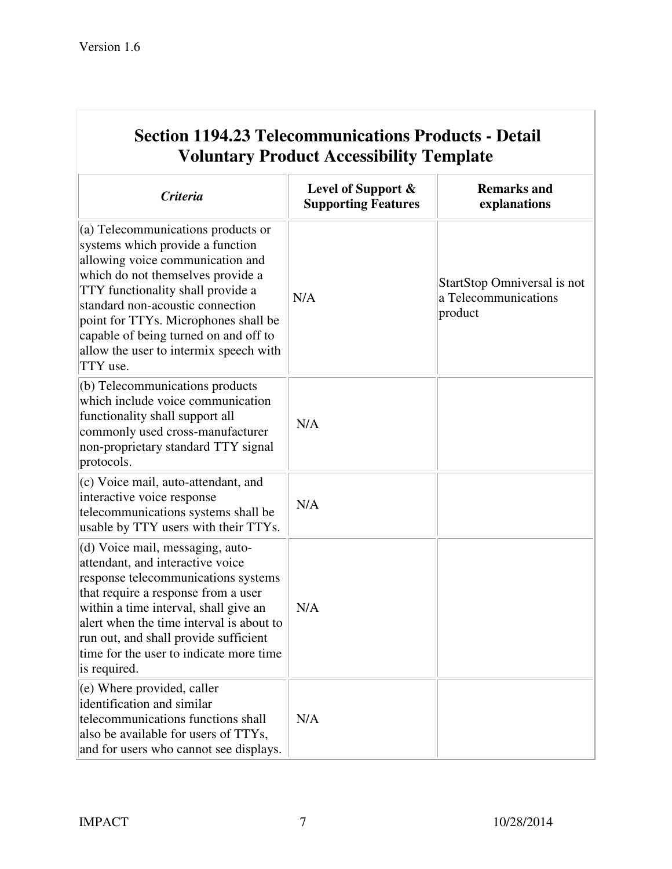| <b>Voluntary Product Accessibility Template</b>                                                                                                                                                                                                                                                                                                                 |                                                  |                                                                |
|-----------------------------------------------------------------------------------------------------------------------------------------------------------------------------------------------------------------------------------------------------------------------------------------------------------------------------------------------------------------|--------------------------------------------------|----------------------------------------------------------------|
| <b>Criteria</b>                                                                                                                                                                                                                                                                                                                                                 | Level of Support &<br><b>Supporting Features</b> | <b>Remarks and</b><br>explanations                             |
| (a) Telecommunications products or<br>systems which provide a function<br>allowing voice communication and<br>which do not themselves provide a<br>TTY functionality shall provide a<br>standard non-acoustic connection<br>point for TTYs. Microphones shall be<br>capable of being turned on and off to<br>allow the user to intermix speech with<br>TTY use. | N/A                                              | StartStop Omniversal is not<br>a Telecommunications<br>product |
| (b) Telecommunications products<br>which include voice communication<br>functionality shall support all<br>commonly used cross-manufacturer<br>non-proprietary standard TTY signal<br>protocols.                                                                                                                                                                | N/A                                              |                                                                |
| (c) Voice mail, auto-attendant, and<br>interactive voice response<br>telecommunications systems shall be<br>usable by TTY users with their TTYs.                                                                                                                                                                                                                | N/A                                              |                                                                |
| (d) Voice mail, messaging, auto-<br>attendant, and interactive voice<br>response telecommunications systems<br>that require a response from a user<br>within a time interval, shall give an<br>alert when the time interval is about to<br>run out, and shall provide sufficient<br>time for the user to indicate more time<br>is required.                     | N/A                                              |                                                                |
| $(e)$ Where provided, caller<br>identification and similar<br>telecommunications functions shall<br>also be available for users of TTYs,<br>and for users who cannot see displays.                                                                                                                                                                              | N/A                                              |                                                                |

# **Section 1194.23 Telecommunications Products - Detail**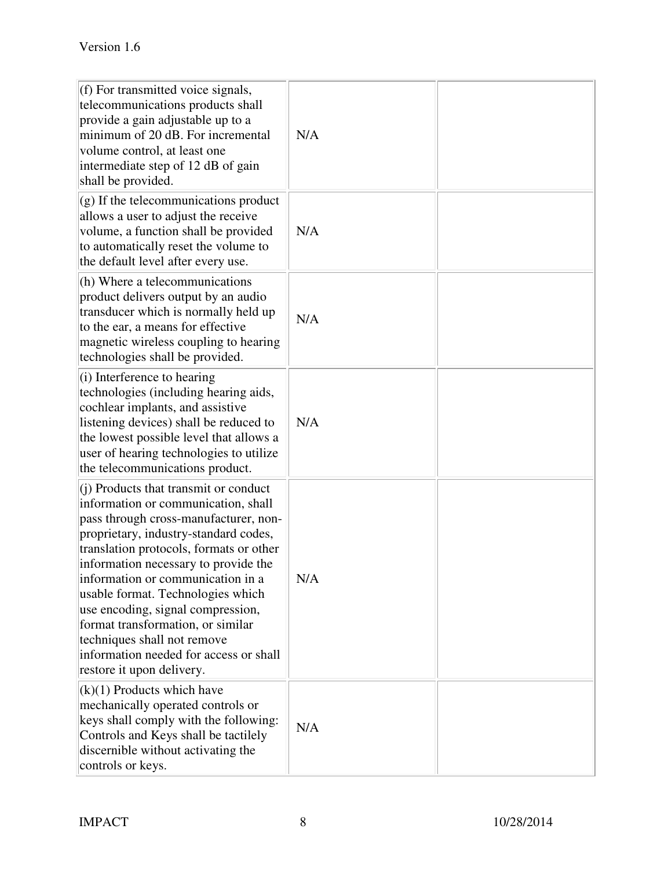| $(f)$ For transmitted voice signals,<br>telecommunications products shall<br>provide a gain adjustable up to a<br>minimum of 20 dB. For incremental<br>volume control, at least one<br>intermediate step of 12 dB of gain<br>shall be provided.                                                                                                                                                                                                                                                               | N/A |  |
|---------------------------------------------------------------------------------------------------------------------------------------------------------------------------------------------------------------------------------------------------------------------------------------------------------------------------------------------------------------------------------------------------------------------------------------------------------------------------------------------------------------|-----|--|
| $\left  \right $ (g) If the telecommunications product<br>allows a user to adjust the receive<br>volume, a function shall be provided<br>to automatically reset the volume to<br>the default level after every use.                                                                                                                                                                                                                                                                                           | N/A |  |
| (h) Where a telecommunications<br>product delivers output by an audio<br>transducer which is normally held up<br>to the ear, a means for effective<br>magnetic wireless coupling to hearing<br>technologies shall be provided.                                                                                                                                                                                                                                                                                | N/A |  |
| $(i)$ Interference to hearing<br>technologies (including hearing aids,<br>cochlear implants, and assistive<br>listening devices) shall be reduced to<br>the lowest possible level that allows a<br>user of hearing technologies to utilize<br>the telecommunications product.                                                                                                                                                                                                                                 | N/A |  |
| $(i)$ Products that transmit or conduct<br>information or communication, shall<br>pass through cross-manufacturer, non-<br>proprietary, industry-standard codes,<br>translation protocols, formats or other<br>information necessary to provide the<br>information or communication in a<br>usable format. Technologies which<br>use encoding, signal compression,<br>format transformation, or similar<br>techniques shall not remove<br>information needed for access or shall<br>restore it upon delivery. | N/A |  |
| $(k)(1)$ Products which have<br>mechanically operated controls or<br>keys shall comply with the following:<br>Controls and Keys shall be tactilely<br>discernible without activating the<br>controls or keys.                                                                                                                                                                                                                                                                                                 | N/A |  |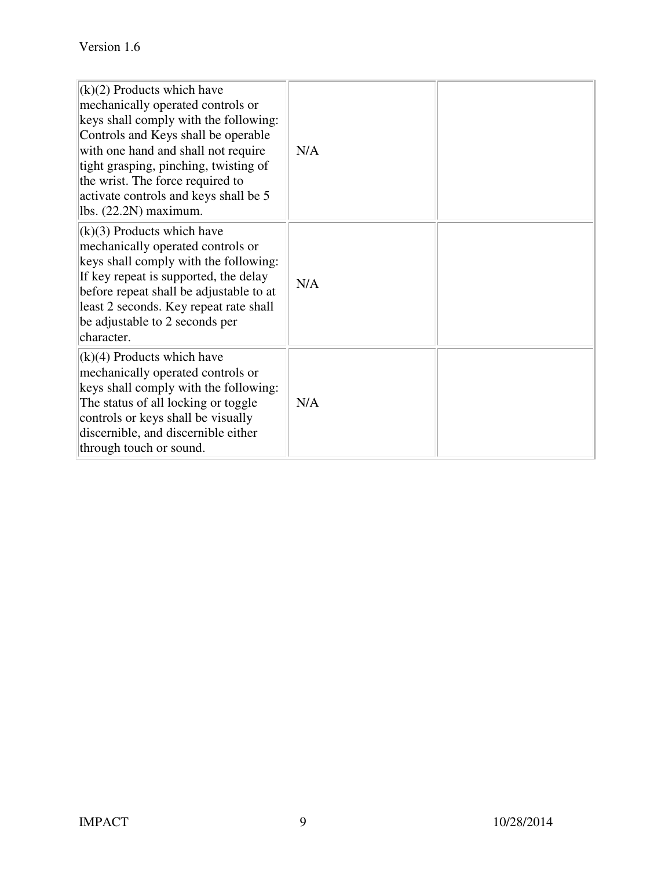| $(k)(2)$ Products which have<br>mechanically operated controls or<br>keys shall comply with the following:<br>Controls and Keys shall be operable<br>with one hand and shall not require<br>tight grasping, pinching, twisting of<br>the wrist. The force required to<br>activate controls and keys shall be 5<br>lbs. $(22.2N)$ maximum. | N/A |  |
|-------------------------------------------------------------------------------------------------------------------------------------------------------------------------------------------------------------------------------------------------------------------------------------------------------------------------------------------|-----|--|
| $(k)(3)$ Products which have<br>mechanically operated controls or<br>keys shall comply with the following:<br>If key repeat is supported, the delay<br>before repeat shall be adjustable to at<br>least 2 seconds. Key repeat rate shall<br>be adjustable to 2 seconds per<br>character.                                                  | N/A |  |
| $(k)(4)$ Products which have<br>mechanically operated controls or<br>keys shall comply with the following:<br>The status of all locking or toggle<br>controls or keys shall be visually<br>discernible, and discernible either<br>through touch or sound.                                                                                 | N/A |  |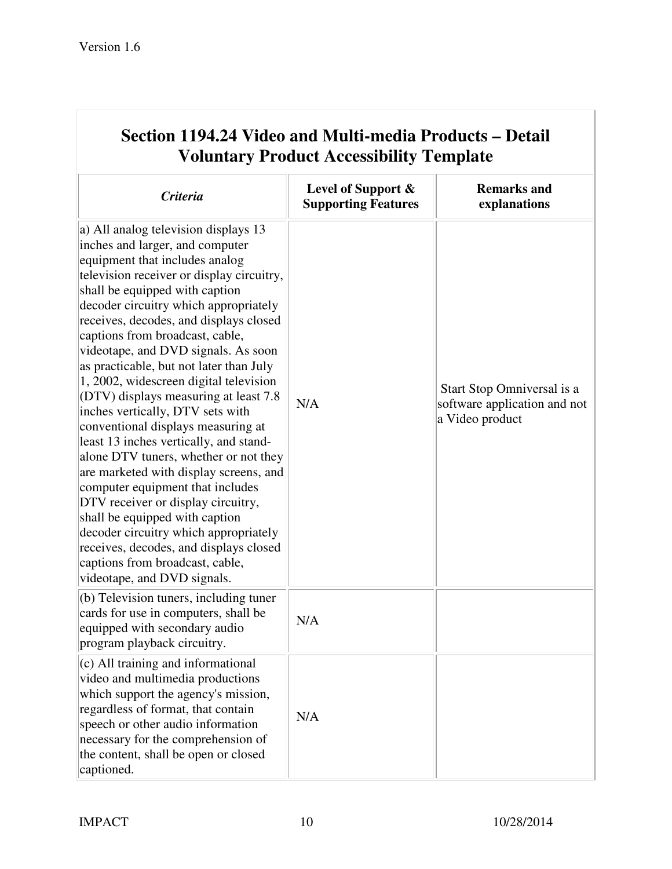| <b>Voluntary Product Accessibility Template</b>                                                                                                                                                                                                                                                                                                                                                                                                                                                                                                                                                                                                                                                                                                                                                                                                                                                                                                               |                                                  |                                                                               |
|---------------------------------------------------------------------------------------------------------------------------------------------------------------------------------------------------------------------------------------------------------------------------------------------------------------------------------------------------------------------------------------------------------------------------------------------------------------------------------------------------------------------------------------------------------------------------------------------------------------------------------------------------------------------------------------------------------------------------------------------------------------------------------------------------------------------------------------------------------------------------------------------------------------------------------------------------------------|--------------------------------------------------|-------------------------------------------------------------------------------|
| <b>Criteria</b>                                                                                                                                                                                                                                                                                                                                                                                                                                                                                                                                                                                                                                                                                                                                                                                                                                                                                                                                               | Level of Support &<br><b>Supporting Features</b> | <b>Remarks and</b><br>explanations                                            |
| a) All analog television displays 13<br>inches and larger, and computer<br>equipment that includes analog<br>television receiver or display circuitry,<br>shall be equipped with caption<br>decoder circuitry which appropriately<br>receives, decodes, and displays closed<br>captions from broadcast, cable,<br>videotape, and DVD signals. As soon<br>as practicable, but not later than July<br>1, 2002, widescreen digital television<br>$(DTV)$ displays measuring at least 7.8<br>inches vertically, DTV sets with<br>conventional displays measuring at<br>least 13 inches vertically, and stand-<br>alone DTV tuners, whether or not they<br>are marketed with display screens, and<br>computer equipment that includes<br>DTV receiver or display circuitry,<br>shall be equipped with caption<br>decoder circuitry which appropriately<br>receives, decodes, and displays closed<br>captions from broadcast, cable,<br>videotape, and DVD signals. | N/A                                              | Start Stop Omniversal is a<br>software application and not<br>a Video product |
| (b) Television tuners, including tuner<br>cards for use in computers, shall be<br>equipped with secondary audio<br>program playback circuitry.                                                                                                                                                                                                                                                                                                                                                                                                                                                                                                                                                                                                                                                                                                                                                                                                                | N/A                                              |                                                                               |
| $(c)$ All training and informational<br>video and multimedia productions<br>which support the agency's mission,<br>regardless of format, that contain<br>speech or other audio information<br>necessary for the comprehension of<br>the content, shall be open or closed<br>captioned.                                                                                                                                                                                                                                                                                                                                                                                                                                                                                                                                                                                                                                                                        | N/A                                              |                                                                               |

# **Section 1194.24 Video and Multi-media Products – Detail**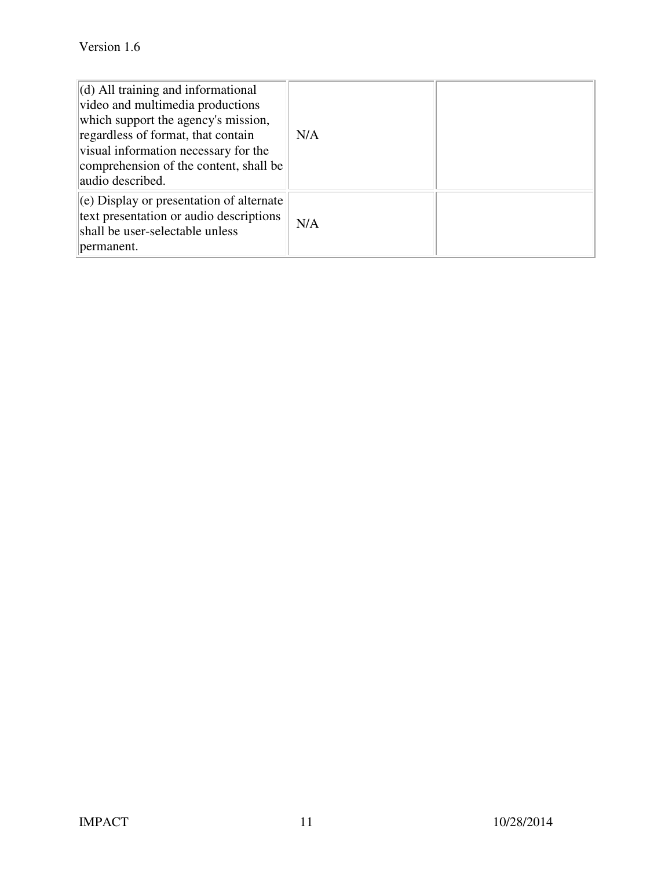| $\vert$ (d) All training and informational<br>video and multimedia productions<br>which support the agency's mission,<br>regardless of format, that contain<br>visual information necessary for the<br>comprehension of the content, shall be<br>audio described. | N/A |  |
|-------------------------------------------------------------------------------------------------------------------------------------------------------------------------------------------------------------------------------------------------------------------|-----|--|
| $\vert$ (e) Display or presentation of alternate<br>text presentation or audio descriptions<br>shall be user-selectable unless<br>permanent.                                                                                                                      | N/A |  |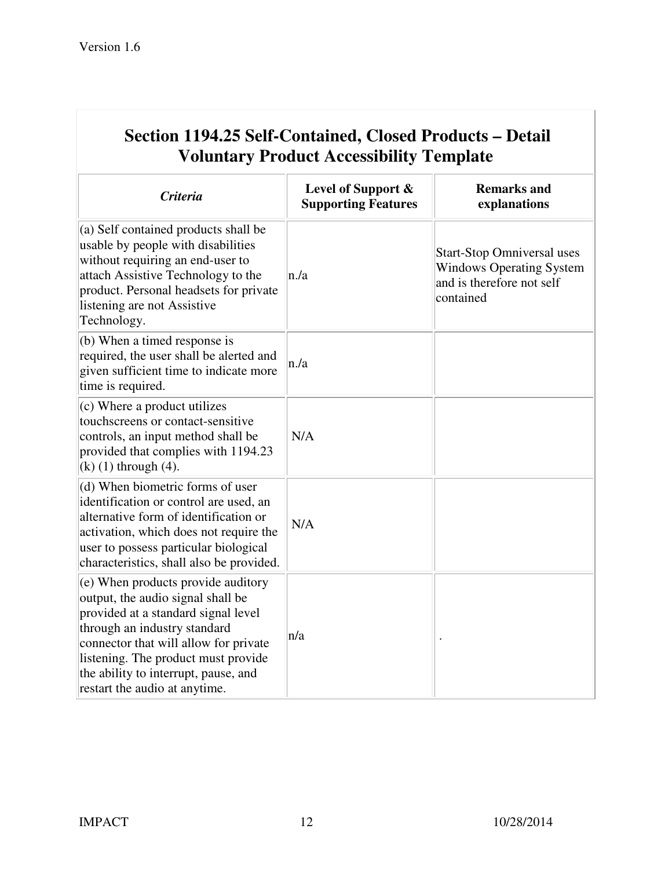| <b>Voluntary Product Accessibility Template</b>                                                                                                                                                                                                                                                         |                                                  |                                                                                                                |
|---------------------------------------------------------------------------------------------------------------------------------------------------------------------------------------------------------------------------------------------------------------------------------------------------------|--------------------------------------------------|----------------------------------------------------------------------------------------------------------------|
| <b>Criteria</b>                                                                                                                                                                                                                                                                                         | Level of Support &<br><b>Supporting Features</b> | <b>Remarks and</b><br>explanations                                                                             |
| (a) Self contained products shall be<br>usable by people with disabilities<br>without requiring an end-user to<br>attach Assistive Technology to the<br>product. Personal headsets for private<br>listening are not Assistive<br>Technology.                                                            | n/a                                              | <b>Start-Stop Omniversal uses</b><br><b>Windows Operating System</b><br>and is therefore not self<br>contained |
| (b) When a timed response is<br>required, the user shall be alerted and<br>given sufficient time to indicate more<br>time is required.                                                                                                                                                                  | n/a                                              |                                                                                                                |
| (c) Where a product utilizes<br>touchscreens or contact-sensitive<br>controls, an input method shall be<br>provided that complies with 1194.23<br>$(k)$ (1) through (4).                                                                                                                                | N/A                                              |                                                                                                                |
| (d) When biometric forms of user<br>identification or control are used, an<br>alternative form of identification or<br>activation, which does not require the<br>user to possess particular biological<br>characteristics, shall also be provided.                                                      | N/A                                              |                                                                                                                |
| (e) When products provide auditory<br>output, the audio signal shall be<br>provided at a standard signal level<br>through an industry standard<br>connector that will allow for private<br>listening. The product must provide<br>the ability to interrupt, pause, and<br>restart the audio at anytime. | n/a                                              |                                                                                                                |

# **Section 1194.25 Self-Contained, Closed Products – Detail**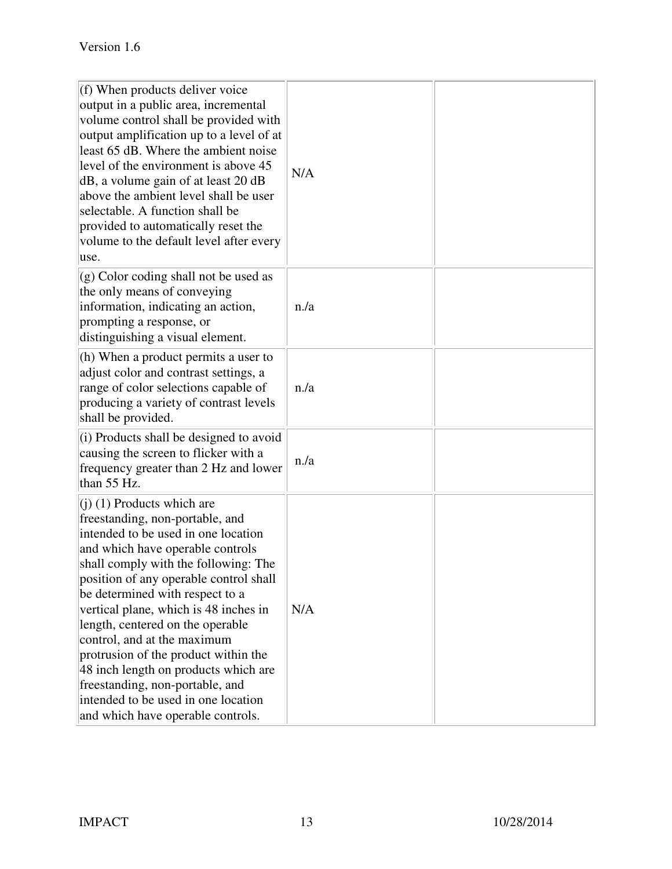| $(f)$ When products deliver voice<br>output in a public area, incremental<br>volume control shall be provided with<br>output amplification up to a level of at<br>least 65 dB. Where the ambient noise<br>level of the environment is above 45<br>dB, a volume gain of at least 20 dB<br>above the ambient level shall be user<br>selectable. A function shall be<br>provided to automatically reset the<br>volume to the default level after every<br>luse.                                                                                                               | N/A |  |
|----------------------------------------------------------------------------------------------------------------------------------------------------------------------------------------------------------------------------------------------------------------------------------------------------------------------------------------------------------------------------------------------------------------------------------------------------------------------------------------------------------------------------------------------------------------------------|-----|--|
| $\vert$ (g) Color coding shall not be used as<br>the only means of conveying<br>information, indicating an action,<br>prompting a response, or<br>distinguishing a visual element.                                                                                                                                                                                                                                                                                                                                                                                         | n/a |  |
| (h) When a product permits a user to<br>adjust color and contrast settings, a<br>range of color selections capable of<br>producing a variety of contrast levels<br>shall be provided.                                                                                                                                                                                                                                                                                                                                                                                      | n/a |  |
| $(i)$ Products shall be designed to avoid<br>causing the screen to flicker with a<br>frequency greater than 2 Hz and lower<br>than 55 Hz.                                                                                                                                                                                                                                                                                                                                                                                                                                  | n/a |  |
| $(1)$ (1) Products which are<br>freestanding, non-portable, and<br>intended to be used in one location<br>and which have operable controls<br>shall comply with the following: The<br>position of any operable control shall<br>be determined with respect to a<br>vertical plane, which is 48 inches in<br>length, centered on the operable<br>control, and at the maximum<br>protrusion of the product within the<br>48 inch length on products which are<br>freestanding, non-portable, and<br>intended to be used in one location<br>and which have operable controls. | N/A |  |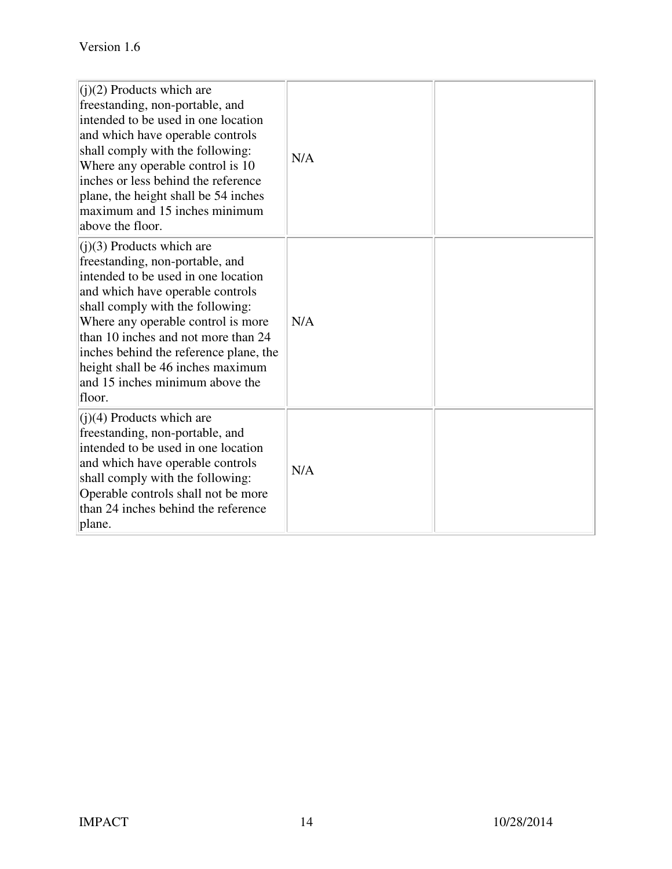| $(i)(2)$ Products which are<br>freestanding, non-portable, and<br>intended to be used in one location<br>and which have operable controls<br>shall comply with the following:<br>Where any operable control is 10<br>inches or less behind the reference<br>plane, the height shall be 54 inches<br>maximum and 15 inches minimum<br>above the floor.                                      | N/A |  |
|--------------------------------------------------------------------------------------------------------------------------------------------------------------------------------------------------------------------------------------------------------------------------------------------------------------------------------------------------------------------------------------------|-----|--|
| $($ j $)(3)$ Products which are<br>freestanding, non-portable, and<br>intended to be used in one location<br>and which have operable controls<br>shall comply with the following:<br>Where any operable control is more<br>than 10 inches and not more than 24<br>inches behind the reference plane, the<br>height shall be 46 inches maximum<br>and 15 inches minimum above the<br>floor. | N/A |  |
| $(i)(4)$ Products which are<br>freestanding, non-portable, and<br>intended to be used in one location<br>and which have operable controls<br>shall comply with the following:<br>Operable controls shall not be more<br>than 24 inches behind the reference<br>plane.                                                                                                                      | N/A |  |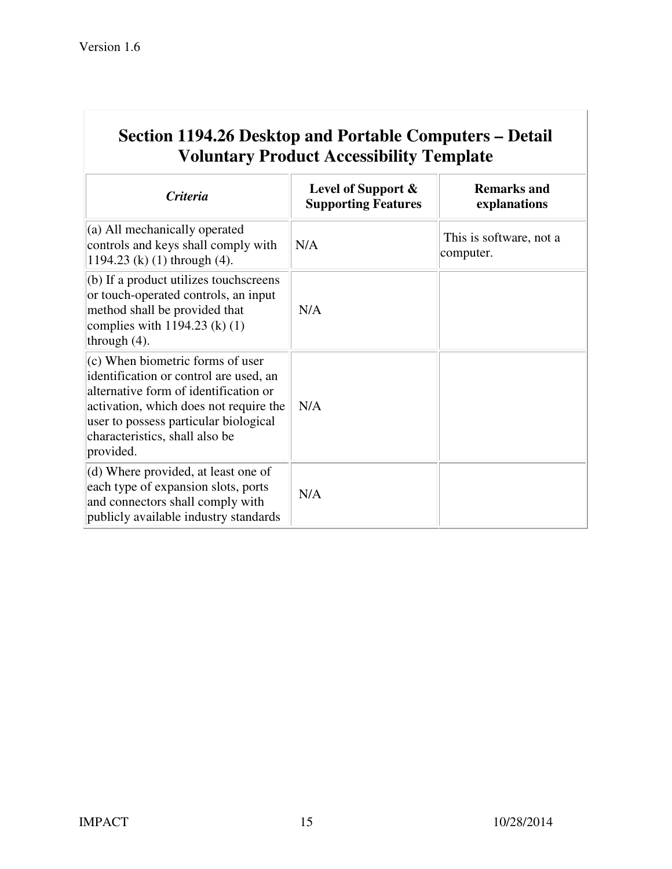| Section 1194.26 Desktop and Portable Computers – Detail<br><b>Voluntary Product Accessibility Template</b>                                                                                                                                              |                                                     |                                      |
|---------------------------------------------------------------------------------------------------------------------------------------------------------------------------------------------------------------------------------------------------------|-----------------------------------------------------|--------------------------------------|
| <b>Criteria</b>                                                                                                                                                                                                                                         | Level of Support $\&$<br><b>Supporting Features</b> | <b>Remarks and</b><br>explanations   |
| $(a)$ All mechanically operated<br>controls and keys shall comply with<br>1194.23 (k) $(1)$ through $(4)$ .                                                                                                                                             | N/A                                                 | This is software, not a<br>computer. |
| $(b)$ If a product utilizes touch screens<br>or touch-operated controls, an input<br>method shall be provided that<br>complies with $1194.23$ (k) (1)<br>through $(4)$ .                                                                                | N/A                                                 |                                      |
| $(c)$ When biometric forms of user<br>identification or control are used, an<br>alternative form of identification or<br>activation, which does not require the<br>user to possess particular biological<br>characteristics, shall also be<br>provided. | N/A                                                 |                                      |
| $(d)$ Where provided, at least one of<br>each type of expansion slots, ports<br>and connectors shall comply with<br>publicly available industry standards                                                                                               | N/A                                                 |                                      |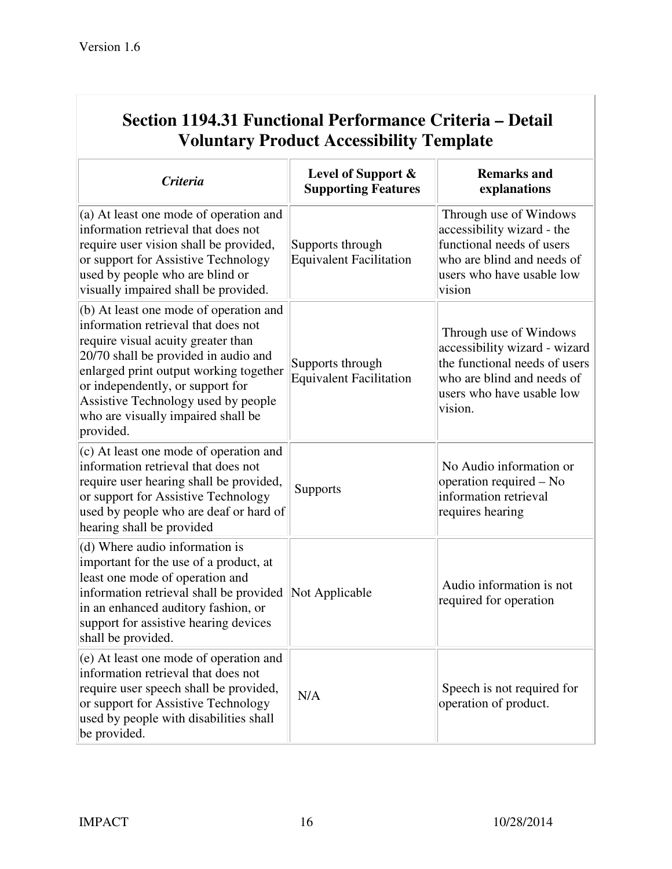| Section 1194.31 Functional Performance Criteria – Detail<br><b>Voluntary Product Accessibility Template</b>                                                                                                                                                                                                                         |                                                    |                                                                                                                                                                |
|-------------------------------------------------------------------------------------------------------------------------------------------------------------------------------------------------------------------------------------------------------------------------------------------------------------------------------------|----------------------------------------------------|----------------------------------------------------------------------------------------------------------------------------------------------------------------|
| <b>Criteria</b>                                                                                                                                                                                                                                                                                                                     | Level of Support &<br><b>Supporting Features</b>   | <b>Remarks and</b><br>explanations                                                                                                                             |
| (a) At least one mode of operation and<br>information retrieval that does not<br>require user vision shall be provided,<br>or support for Assistive Technology<br>used by people who are blind or<br>visually impaired shall be provided.                                                                                           | Supports through<br><b>Equivalent Facilitation</b> | Through use of Windows<br>accessibility wizard - the<br>functional needs of users<br>who are blind and needs of<br>users who have usable low<br>vision         |
| (b) At least one mode of operation and<br>information retrieval that does not<br>require visual acuity greater than<br>20/70 shall be provided in audio and<br>enlarged print output working together<br>or independently, or support for<br>Assistive Technology used by people<br>who are visually impaired shall be<br>provided. | Supports through<br><b>Equivalent Facilitation</b> | Through use of Windows<br>accessibility wizard - wizard<br>the functional needs of users<br>who are blind and needs of<br>users who have usable low<br>vision. |
| (c) At least one mode of operation and<br>information retrieval that does not<br>require user hearing shall be provided,<br>or support for Assistive Technology<br>used by people who are deaf or hard of<br>hearing shall be provided                                                                                              | Supports                                           | No Audio information or<br>operation required – No<br>information retrieval<br>requires hearing                                                                |
| (d) Where audio information is<br>important for the use of a product, at<br>least one mode of operation and<br>information retrieval shall be provided<br>in an enhanced auditory fashion, or<br>support for assistive hearing devices<br>shall be provided.                                                                        | Not Applicable                                     | Audio information is not<br>required for operation                                                                                                             |
| (e) At least one mode of operation and<br>information retrieval that does not<br>require user speech shall be provided,<br>or support for Assistive Technology<br>used by people with disabilities shall<br>be provided.                                                                                                            | N/A                                                | Speech is not required for<br>operation of product.                                                                                                            |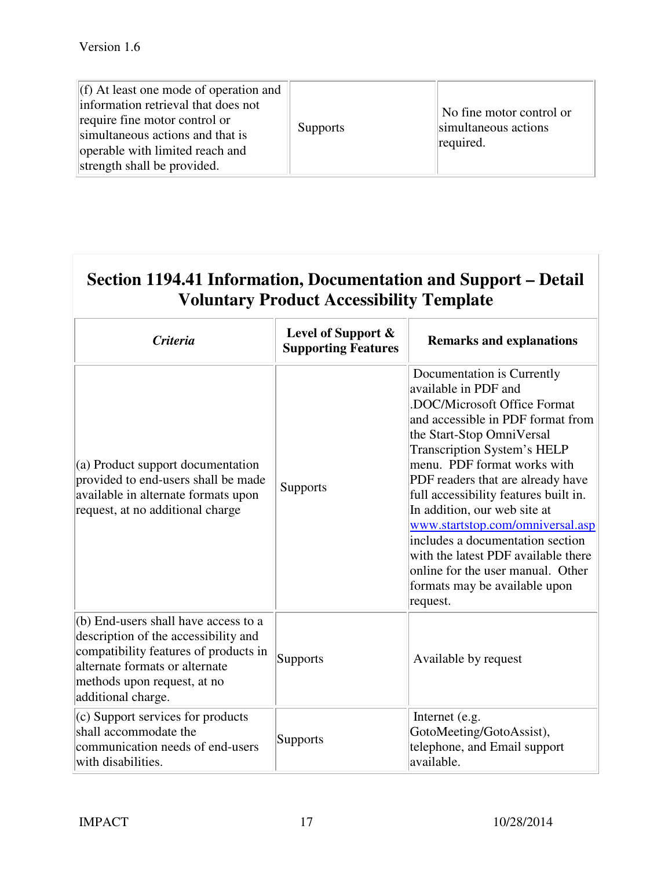| $(f)$ At least one mode of operation and<br>information retrieval that does not<br>require fine motor control or<br>simultaneous actions and that is<br>operable with limited reach and<br>strength shall be provided. | <b>Supports</b> | No fine motor control or<br>simultaneous actions<br>required. |
|------------------------------------------------------------------------------------------------------------------------------------------------------------------------------------------------------------------------|-----------------|---------------------------------------------------------------|
|------------------------------------------------------------------------------------------------------------------------------------------------------------------------------------------------------------------------|-----------------|---------------------------------------------------------------|

| Section 1194.41 Information, Documentation and Support – Detail |
|-----------------------------------------------------------------|
| <b>Voluntary Product Accessibility Template</b>                 |

| <i>Criteria</i>                                                                                                                                                                                              | Level of Support &<br><b>Supporting Features</b> | <b>Remarks and explanations</b>                                                                                                                                                                                                                                                                                                                                                                                                                                                                                                          |
|--------------------------------------------------------------------------------------------------------------------------------------------------------------------------------------------------------------|--------------------------------------------------|------------------------------------------------------------------------------------------------------------------------------------------------------------------------------------------------------------------------------------------------------------------------------------------------------------------------------------------------------------------------------------------------------------------------------------------------------------------------------------------------------------------------------------------|
| (a) Product support documentation<br>provided to end-users shall be made<br>available in alternate formats upon<br>request, at no additional charge                                                          | <b>Supports</b>                                  | Documentation is Currently<br>available in PDF and<br>.DOC/Microsoft Office Format<br>and accessible in PDF format from<br>the Start-Stop OmniVersal<br><b>Transcription System's HELP</b><br>menu. PDF format works with<br>PDF readers that are already have<br>full accessibility features built in.<br>In addition, our web site at<br>www.startstop.com/omniversal.asp<br>includes a documentation section<br>with the latest PDF available there<br>online for the user manual. Other<br>formats may be available upon<br>request. |
| (b) End-users shall have access to a<br>description of the accessibility and<br>compatibility features of products in<br>alternate formats or alternate<br>methods upon request, at no<br>additional charge. | <b>Supports</b>                                  | Available by request                                                                                                                                                                                                                                                                                                                                                                                                                                                                                                                     |
| (c) Support services for products<br>shall accommodate the<br>communication needs of end-users<br>with disabilities.                                                                                         | <b>Supports</b>                                  | Internet (e.g.<br>GotoMeeting/GotoAssist),<br>telephone, and Email support<br>available.                                                                                                                                                                                                                                                                                                                                                                                                                                                 |